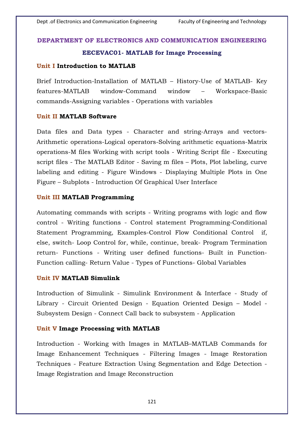## **DEPARTMENT OF ELECTRONICS AND COMMUNICATION ENGINEERING**

# **EECEVAC01- MATLAB for Image Processing**

#### **Unit I Introduction to MATLAB**

Brief Introduction-Installation of MATLAB – History-Use of MATLAB- Key features-MATLAB window-Command window – Workspace-Basic commands-Assigning variables - Operations with variables

#### **Unit II MATLAB Software**

Data files and Data types - Character and string-Arrays and vectors-Arithmetic operations-Logical operators-Solving arithmetic equations-Matrix operations-M files Working with script tools - Writing Script file - Executing script files - The MATLAB Editor - Saving m files – Plots, Plot labeling, curve labeling and editing - Figure Windows - Displaying Multiple Plots in One Figure – Subplots - Introduction Of Graphical User Interface

#### **Unit III MATLAB Programming**

Automating commands with scripts - Writing programs with logic and flow control - Writing functions - Control statement Programming-Conditional Statement Programming, Examples-Control Flow Conditional Control if, else, switch- Loop Control for, while, continue, break- Program Termination return- Functions - Writing user defined functions- Built in Function-Function calling- Return Value - Types of Functions- Global Variables

# **Unit IV MATLAB Simulink**

Introduction of Simulink - Simulink Environment & Interface - Study of Library - Circuit Oriented Design - Equation Oriented Design – Model - Subsystem Design - Connect Call back to subsystem - Application

## **Unit V Image Processing with MATLAB**

Introduction - Working with Images in MATLAB–MATLAB Commands for Image Enhancement Techniques - Filtering Images - Image Restoration Techniques - Feature Extraction Using Segmentation and Edge Detection - Image Registration and Image Reconstruction